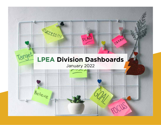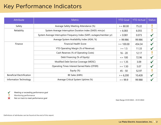## Key Performance Indicators

| <b>Attribute</b>                  | <b>Metric</b>                                                          | <b>YTD Goal</b> | <b>YTD Actual</b> | <b>Status</b> |
|-----------------------------------|------------------------------------------------------------------------|-----------------|-------------------|---------------|
| Safety                            | Average Safety Meeting Attendance (%)                                  | $>= 80.00$      | 75.22             |               |
| Reliability                       | System Average Interruption Duration Index (SAIDI; min/yr)             | < 6.083         | 6.055             |               |
|                                   | System Average Interruption Frequency Index (SAIFI, outages/member-yr) | < 0.081         | 0.073             | $\checkmark$  |
|                                   | Average System Availability Index (ASAI, %)                            | >99.986         | 99.986            | $\checkmark$  |
| Finance                           | <b>Financial Health Score</b>                                          | $>= 100.00$     | 454.34            | $\checkmark$  |
|                                   | YTD Operating Margin (% of Revenue)                                    | $>= 1.5$        | 11.33             | $\checkmark$  |
|                                   | Cash Reserves (% of Operating Costs)                                   | $16 - 20$       | 12.17             |               |
|                                   | Debt Financing (% of Equity)                                           | $\leq$ = 100    | 72.96             | $\checkmark$  |
|                                   | Modified Debt Service Coverage (MDSC)                                  | $>= 1.35$       | 3.09              | $\checkmark$  |
|                                   | Operating Times Interest Earned Ratio (OTIER)                          | $>= 1.50$       | 5.07              | $\checkmark$  |
|                                   | Equity (%)                                                             | $45 - 50$       | 52.97             |               |
| <b>Beneficial Electrification</b> | BE Sales (kWh)                                                         | $= 6,200$       | 10,428            | $\checkmark$  |
| Information Technology            | Average Critical System Uptime (%)                                     | $>= 99.9$       | 99.988            |               |

 $\checkmark$ Meeting or exceeding performance goal

Ţ Monitoring performance

 $\boldsymbol{\mathsf{x}}$ Not on track to meet performance goal

Date Range: 01/01/2022 - 01/31/2022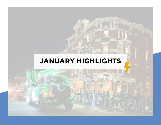# **JANUARY HIGHLIGHTS**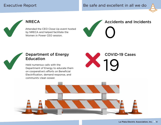Executive Report **Be safe and excellent in all we do** Be safe and excellent in all we do



#### **NRECA**

Attended the CEO Close-Up event hosted by NRECA and helped facilitate the Women in Power CEO session.





#### Department of Energy Education

Held numerous calls with the Department of Energy to educate them on cooperative's efforts on Beneficial Electrification, demand response, and community clean power.



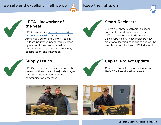#### Be safe and excellent in all we do  $A$  Keep the lights on







#### LPEA Lineworker of the Year

LPEA awarded its first-ever lineworker of the year awards to Brent Tanner in Archuleta County and Clinton Peak in La Plata County. Winners were selected by a vote of their peers based on safety practices, leadership, efficiency, collaboration, and innovation.



#### Smart Reclosers

LPEA's first three electronic reclosers are installed and operational in the Cliffs subdivision and in the Forest Lakes subdivision. These reclosers have situational learning capabilities and can be remotely controlled from LPEA dispatch.



### Supply Issues

LPEA's warehouse, finance, and operations teams continue to avoid major shortages through good management and communication processes.



#### Capital Project Update

Continued to make major progress on the HWY 550 line-relocation project.



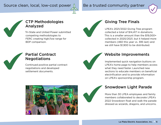#### Source clean, local, low-cost power  $\Lambda$  Be a trusted community partner





#### CTP Methodologies Analyzed

Tri-State and United Power submitted competing methodologies to FERC creating high/low range for BDP comparison.



#### Giving Tree Finals

LPEA's 2021/2022 Giving Tree program collected a total of \$14,417 in donations. This is a smaller amount than the \$19,000+ collected in 2020/2021, but it helped more members (460 this year vs. 395 last) and we still have \$1,900 to be distributed.



#### Partial Contract **Negotiations**

Continued positive partial contract negotiations and developed settlement documents.



#### Website Improvements

Implemented quick navigation buttons on LPEA's home page to help members access what they need faster. Launched new sections to educate members on beneficial electrification and to provide information on LPEA's sponsorship program.



### Snowdown Light Parade

More than 30 LPEA employees and family members collaborated to decorate LPEA's 2022 Snowdown float and walk the parade dressed as wizards, dragons, and unicorns.